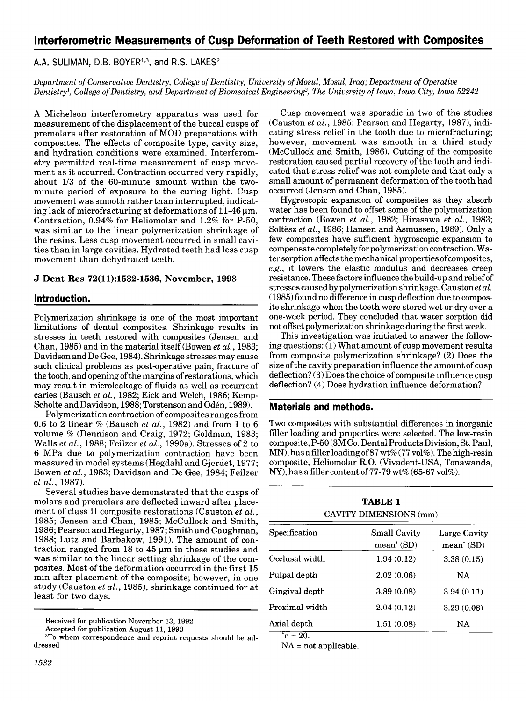# Interferometric Measurements of Cusp Deformation of Teeth Restored with Composites

A.A. SULIMAN, D.B. BOYER<sup>1,3</sup>, and R.S. LAKES<sup>2</sup>

Department of Conservative Dentistry, College of Dentistry, University of Mosul, Mosul, Iraq; Department of Operative Dentistry<sup>1</sup>, College of Dentistry, and Department of Biomedical Engineering<sup>2</sup>, The University of Iowa, Iowa City, Iowa 52242

A Michelson interferometry apparatus was used for measurement of the displacement of the buccal cusps of premolars after restoration of MOD preparations with composites. The effects of composite type, cavity size, and hydration conditions were examined. Interferometry permitted real-time measurement of cusp movement as it occurred. Contraction occurred very rapidly, about 1/3 of the 60-minute amount within the twominute period of exposure to the curing light. Cusp movement was smooth rather than interrupted, indicating lack of microfracturing at deformations of  $11-46 \,\mu m$ . Contraction, 0.94% for Heliomolar and 1.2% for P-50, was similar to the linear polymerization shrinkage of the resins. Less cusp movement occurred in small cavities than in large cavities. Hydrated teeth had less cusp movement than dehydrated teeth.

#### J Dent Res 72(11):1532-1536, November, 1993

#### Introduction.

Polymerization shrinkage is one of the most important limitations of dental composites. Shrinkage results in stresses in teeth restored with composites (Jensen and Chan, 1985) and in the material itself (Bowen et al., 1983; Davidson and De Gee, 1984). Shrinkage stresses may cause such clinical problems as post-operative pain, fracture of the tooth, and opening of the margins of restorations, which may result in microleakage of fluids as well as recurrent caries (Bausch et al., 1982; Eick and Welch, 1986; Kemp-Scholte and Davidson, 1988; Torstenson and Oden, 1989).

Polymerization contraction of composites ranges from 0.6 to 2 linear  $%$  (Bausch et al., 1982) and from 1 to 6 volume % (Dennison and Craig, 1972; Goldman, 1983; Walls et al., 1988; Feilzer et al., 1990a). Stresses of 2 to <sup>6</sup> MPa due to polymerization contraction have been measured in model systems (Hegdahl and Gjerdet, 1977; Bowen et al., 1983; Davidson and De Gee, 1984; Feilzer et al., 1987).

Several studies have demonstrated that the cusps of molars and premolars are deflected inward after placement of class II composite restorations (Causton et al., 1985; Jensen and Chan, 1985; McCullock and Smith, 1986; Pearson and Hegarty, 1987; Smith and Caughman, 1988; Lutz and Barbakow, 1991). The amount of contraction ranged from  $18$  to  $45 \mu m$  in these studies and was similar to the linear setting shrinkage of the composites. Most of the deformation occurred in the first 15 min after placement of the composite; however, in one study (Causton et al., 1985), shrinkage continued for at least for two days.

Accepted for publication August 11, 1993

Cusp movement was sporadic in two of the studies (Causton et al., 1985; Pearson and Hegarty, 1987), indicating stress relief in the tooth due to microfracturing; however, movement was smooth in a third study (McCullock and Smith, 1986). Cutting of the composite restoration caused partial recovery of the tooth and indicated that stress relief was not complete and that only a small amount of permanent deformation of the tooth had occurred (Jensen and Chan, 1985).

Hygroscopic expansion of composites as they absorb water has been found to offset some of the polymerization contraction (Bowen et al., 1982; Hirasawa et al., 1983; Soltèsz et al., 1986; Hansen and Asmussen, 1989). Only a few composites have sufficient hygroscopic expansion to compensate completely for polymerization contraction. Water sorption affects the mechanical properties of composites, e.g., it lowers the elastic modulus and decreases creep resistance. These factors influence the build-up and reliefof stresses caused by polymerization shrinkage. Caustonet al. (1985) found no difference in cusp deflection due to composite shrinkage when the teeth were stored wet or dry over a one-week period. They concluded that water sorption did not offset polymerization shrinkage during the first week.

This investigation was initiated to answer the following questions: (1) What amount of cusp movement results from composite polymerization shrinkage? (2) Does the size of the cavity preparation influence the amount of cusp deflection? (3) Does the choice of composite influence cusp deflection? (4) Does hydration influence deformation?

### Materials and methods.

Two composites with substantial differences in inorganic filler loading and properties were selected. The low-resin composite, P-50 (3M Co. Dental Products Division, St. Paul,  $MN$ ), has a filler loading of 87 wt% (77 vol%). The high-resin composite, Heliomolar R.O. (Vivadent-USA, Tonawanda, NY), has a filler content of  $77-79$  wt% (65-67 vol%).

|                       | <b>TABLE 1</b><br>CAVITY DIMENSIONS (mm) |                              |  |  |  |
|-----------------------|------------------------------------------|------------------------------|--|--|--|
| ${\rm Specification}$ | Small Cavity<br>$mean^*(SD)$             | Large Cavity<br>$mean^*(SD)$ |  |  |  |
| Occlusal width        | 1.94(0.12)                               | 3.38(0.15)                   |  |  |  |
| Pulpal depth          | 2.02(0.06)                               | <b>NA</b>                    |  |  |  |
| Gingival depth        | 3.89(0.08)                               | 3.94(0.11)                   |  |  |  |
| Proximal width        | 2.04(0.12)                               | 3.29(0.08)                   |  |  |  |
| Axial depth           | 1.51(0.08)                               | NA                           |  |  |  |

 $^*n = 20.$ 

 $NA = not applicable.$ 

Received for publication November 13, 1992

<sup>3</sup>To whom correspondence and reprint requests should be addressed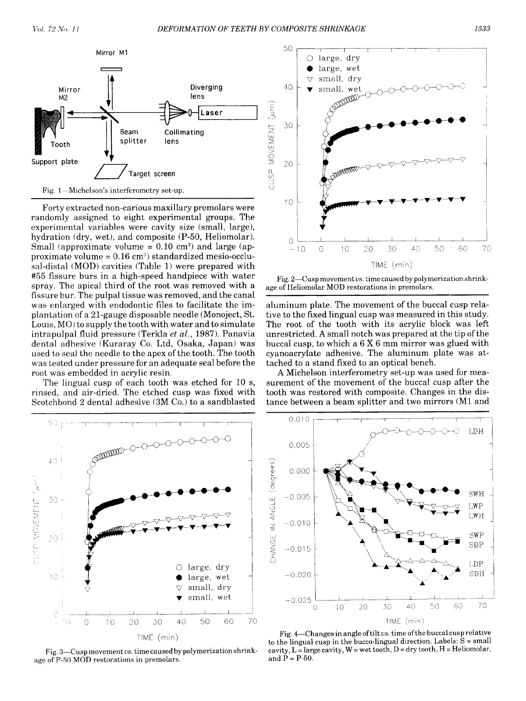

Forty extracted non-carious maxillary premolars were randomly assigned to eight experimental groups. The experimental variables were cavity size (small, large), hydration (dry, wet), and composite (P-50, Heliomolar). Small (approximate volume  $= 0.10$  cm<sup>3</sup>) and large (approximate volume  $= 0.16$  cm<sup>3</sup>) standardized mesio-occlusal-distal (MOD) cavities (Table 1) were prepared with #55 fissure burs in a high-speed handpiece with water spray. The apical third of the root was removed with a fissure bur. The pulpal tissue was removed, and the canal was enlarged with endodontic files to facilitate the implantation of a 21-gauge disposable needle (Monoject, St. Louis, MO) to supply the tooth with water and to simulate intrapulpal fluid pressure (Terkla et al., 1987). Panavia dental adhesive (Kuraray Co. Ltd, Osaka, Japan) was used to seal the needle to the apex of the tooth. The tooth was tested under pressure for an adequate seal before the root was embedded in acrylic resin.

The lingual cusp of each tooth was etched for 10 s, rinsed, and air-dried. The etched cusp was fixed with Scotchbond 2 dental adhesive (3M Co.) to a sandblasted



Fig. 3-Cusp movement vs. time caused by polymerization shrinkage of P-50 MOD restorations in premolars.



Fig.  $2$ —Cusp movement vs. time caused by polymerization shrinkage of Heliomolar MOD restorations in premolars.

aluminum plate. The movement of the buccal cusp relative to the fixed lingual cusp was measured in this study. The root of the tooth with its acrylic block was left unrestricted. A small notch was prepared at the tip of the buccal cusp, to which <sup>a</sup> <sup>6</sup> X <sup>6</sup> mm mirror was glued with cyanoacrylate adhesive. The aluminum plate was attached to a stand fixed to an optical bench.

A Michelson interferometry set-up was used for measurement of the movement of the buccal cusp after the tooth was restored with composite. Changes in the distance between a beam splitter and two mirrors (Ml and



Fig. 4-Changes in angle of tilt vs. time of the buccal cusp relative to the lingual cusp in the bucco-lingual direction. Labels:  $\bar{S}$  = small cavity,  $L =$  large cavity,  $W =$  wet tooth,  $D =$  dry tooth,  $H =$  Heliomolar, and  $P = P-50$ .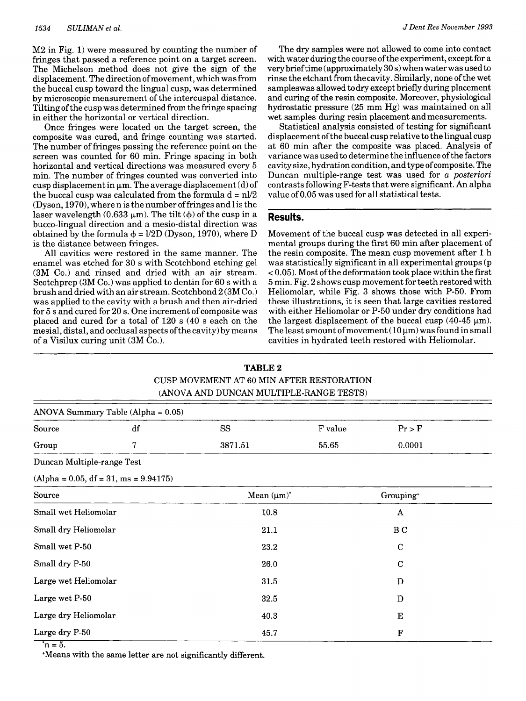M2 in Fig. 1) were measured by counting the number of fringes that passed a reference point on a target screen. The Michelson method does not give the sign of the displacement. The direction of movement, which was from the buccal cusp toward the lingual cusp, was determined by microscopic measurement of the intercuspal distance. Tilting ofthe cusp was determined from the fringe spacing in either the horizontal or vertical direction.

Once fringes were located on the target screen, the composite was cured, and fringe counting was started. The number of fringes passing the reference point on the screen was counted for 60 min. Fringe spacing in both horizontal and vertical directions was measured every 5 min. The number of fringes counted was converted into cusp displacement in  $\mu$ m. The average displacement (d) of the buccal cusp was calculated from the formula  $d = n l/2$ (Dyson, 1970), where n is the number offringes and <sup>1</sup> is the laser wavelength  $(0.633 \mu m)$ . The tilt  $(\phi)$  of the cusp in a bucco-lingual direction and a mesio-distal direction was obtained by the formula  $\phi = l/2D$  (Dyson, 1970), where D is the distance between fringes.

All cavities were restored in the same manner. The enamel was etched for 30 <sup>s</sup> with Scotchbond etching gel (3M Co.) and rinsed and dried with an air stream. Scotchprep (3M Co.) was applied to dentin for 60 <sup>s</sup> with a brush and dried with an air stream. Scotchbond 2 (3M Co.) was applied to the cavity with a brush and then air-dried for 5 <sup>s</sup> and cured for 20 s. One increment of composite was placed and cured for a total of 120 <sup>s</sup> (40 <sup>s</sup> each on the mesial, distal, and occlusal aspects ofthe cavity) by means of a Visilux curing unit (3M Co.).

The dry samples were not allowed to come into contact with water during the course of the experiment, except for a very brieftime (approximately 30 s) whenwater was used to rinse the etchant from the cavity. Similarly, none ofthe wet sampleswas allowed to dry except briefly during placement and curing of the resin composite. Moreover, physiological hydrostatic pressure (25 mm Hg) was maintained on all wet samples during resin placement and measurements.

Statistical analysis consisted of testing for significant displacement ofthe buccal cusp relative to the lingual cusp at 60 min after the composite was placed. Analysis of variance was used to determine the influence ofthe factors cavity size, hydration condition, and type ofcomposite. The Duncan multiple-range test was used for a posteriori contrasts following F-tests that were significant. An alpha value of 0.05 was used for all statistical tests.

#### Results.

Movement of the buccal cusp was detected in all experimental groups during the first 60 min after placement of the resin composite. The mean cusp movement after <sup>1</sup> h was statistically significant in all experimental groups (p  $<$  0.05). Most of the deformation took place within the first 5 min. Fig. 2 shows cusp movement for teeth restored with Heliomolar, while Fig. 3 shows those with P-50. From these illustrations, it is seen that large cavities restored with either Heliomolar or P-50 under dry conditions had the largest displacement of the buccal cusp (40-45  $\mu$ m). The least amount of movement  $(10 \mu m)$  was found in small cavities in hydrated teeth restored with Heliomolar.

|                                         | TABLE 2<br>CUSP MOVEMENT AT 60 MIN AFTER RESTORATION<br>(ANOVA AND DUNCAN MULTIPLE-RANGE TESTS) |                  |         |                       |  |  |  |
|-----------------------------------------|-------------------------------------------------------------------------------------------------|------------------|---------|-----------------------|--|--|--|
| ANOVA Summary Table (Alpha = $0.05$ )   |                                                                                                 |                  |         |                       |  |  |  |
| Source                                  | df                                                                                              | SS               | F value | $Pr$ > F              |  |  |  |
| Group                                   | 7                                                                                               | 3871.51          | 55.65   | 0.0001                |  |  |  |
| Duncan Multiple-range Test              |                                                                                                 |                  |         |                       |  |  |  |
| $(Alpha = 0.05, df = 31, ms = 9.94175)$ |                                                                                                 |                  |         |                       |  |  |  |
| Source                                  |                                                                                                 | Mean $(\mu m)^*$ |         | Grouping <sup>+</sup> |  |  |  |
| Small wet Heliomolar                    |                                                                                                 | $10.8\,$         |         | A                     |  |  |  |
| Small dry Heliomolar                    |                                                                                                 | 21.1             |         | B <sub>C</sub>        |  |  |  |
| Small wet P-50                          |                                                                                                 | 23.2             |         | $\mathbf C$           |  |  |  |
| Small dry P-50                          |                                                                                                 | 26.0             |         | $\mathbf C$           |  |  |  |
| Large wet Heliomolar                    |                                                                                                 | 31.5             |         | D                     |  |  |  |
| Large wet P-50                          |                                                                                                 | 32.5             |         | D                     |  |  |  |
| Large dry Heliomolar                    |                                                                                                 | 40.3             |         | Е                     |  |  |  |
| Large dry P-50                          |                                                                                                 | 45.7             |         | F                     |  |  |  |

 $TATT22$ 

 $\overline{n} = 5.$ 

+Means with the same letter are not significantly different.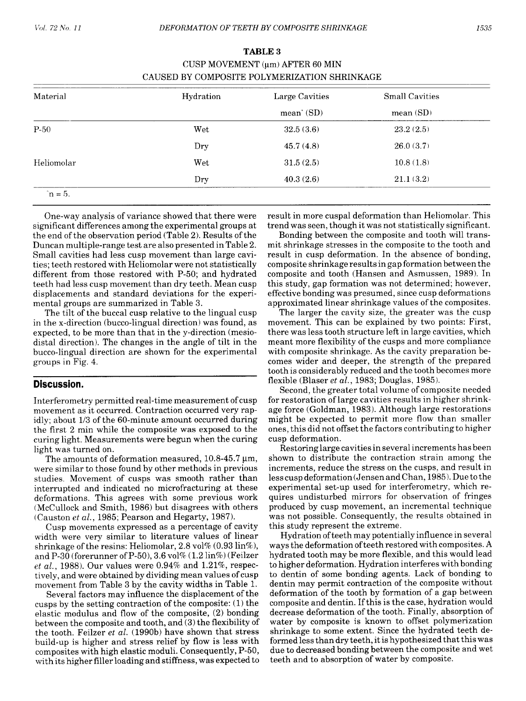| Material   | Hydration | Large Cavities<br>$mean^*(SD)$ | <b>Small Cavities</b><br>mean(SD) |
|------------|-----------|--------------------------------|-----------------------------------|
|            |           |                                |                                   |
| Dry        | 45.7(4.8) | 26.0(3.7)                      |                                   |
| Heliomolar | Wet       | 31.5(2.5)                      | 10.8(1.8)                         |
|            | Dry       | 40.3(2.6)                      | 21.1(3.2)                         |

## TABLE <sup>3</sup> CUSP MOVEMENT  $(\mu m)$  AFTER 60 MIN CAUSED BY COMPOSITE POLYMERIZATION SHRINKAGE

One-way analysis of variance showed that there were significant differences among the experimental groups at the end of the observation period (Table 2). Results of the Duncan multiple-range test are also presented in Table 2. Small cavities had less cusp movement than large cavities; teeth restored with Heliomolar were not statistically different from those restored with P-50; and hydrated teeth had less cusp movement than dry teeth. Mean cusp displacements and standard deviations for the experimental groups are summarized in Table 3.

The tilt of the buccal cusp relative to the lingual cusp in the x-direction (bucco-lingual direction) was found, as expected, to be more than that in the y-direction (mesiodistal direction). The changes in the angle of tilt in the bucco-lingual direction are shown for the experimental groups in Fig. 4.

#### Discussion.

Interferometry permitted real-time measurement of cusp movement as it occurred. Contraction occurred very rapidly; about 1/3 of the 60-minute amount occurred during the first 2 min while the composite was exposed to the curing light. Measurements were begun when the curing light was turned on.

The amounts of deformation measured,  $10.8$ -45.7  $\mu$ m, were similar to those found by other methods in previous studies. Movement of cusps was smooth rather than interrupted and indicated no microfracturing at these deformations. This agrees with some previous work (McCullock and Smith, 1986) but disagrees with others (Causton et al., 1985; Pearson and Hegarty, 1987).

Cusp movements expressed as a percentage of cavity width were very similar to literature values of linear shrinkage of the resins: Heliomolar, 2.8 vol%  $(0.93 \text{ lin\%}),$ and P-30 (forerunner of P-50), 3.6 vol% (1.2 lin%) (Feilzer et al., 1988). Our values were  $0.94\%$  and  $1.21\%$ , respectively, and were obtained by dividing mean values of cusp movement from Table 3 by the cavity widths in Table 1.

Several factors may influence the displacement of the cusps by the setting contraction of the composite: (1) the elastic modulus and flow of the composite, (2) bonding between the composite and tooth, and (3) the flexibility of the tooth. Feilzer *et al.* (1990b) have shown that stress build-up is higher and stress relief by flow is less with composites with high elastic moduli. Consequently, P-50, with its higher filler loading and stiffness, was expected to result in more cuspal deformation than Heliomolar. This trend was seen, though it was not statistically significant.

Bonding between the composite and tooth will transmit shrinkage stresses in the composite to the tooth and result in cusp deformation. In the absence of bonding, composite shrinkage results in gap formation between the composite and tooth (Hansen and Asmussen, 1989). In this study, gap formation was not determined; however, effective bonding was presumed, since cusp deformations approximated linear shrinkage values of the composites.

The larger the cavity size, the greater was the cusp movement. This can be explained by two points: First, there was less tooth structure left in large cavities, which meant more flexibility of the cusps and more compliance with composite shrinkage. As the cavity preparation becomes wider and deeper, the strength of the prepared tooth is considerably reduced and the tooth becomes more flexible (Blaser et al., 1983; Douglas, 1985).

Second, the greater total volume of composite needed for restoration of large cavities results in higher shrinkage force (Goldman, 1983). Although large restorations might be expected to permit more flow than smaller ones, this did not offset the factors contributing to higher cusp deformation.

Restoring large cavities in several increments has been shown to distribute the contraction strain among the increments, reduce the stress on the cusps, and result in less cusp deformation (Jensen and Chan, 1985). Due to the experimental set-up used for interferometry, which requires undisturbed mirrors for observation of fringes produced by cusp movement, an incremental technique was not possible. Consequently, the results obtained in this study represent the extreme.

Hydration of teeth may potentially influence in several ways the deformation ofteeth restored with composites. A hydrated tooth may be more flexible, and this would lead to higher deformation. Hydration interferes with bonding to dentin of some bonding agents. Lack of bonding to dentin may permit contraction of the composite without deformation of the tooth by formation of a gap between composite and dentin. If this is the case, hydration would decrease deformation of the tooth. Finally, absorption of water by composite is known to offset polymerization shrinkage to some extent. Since the hydrated teeth deformed less than dry teeth, it is hypothesized that this was due to decreased bonding between the composite and wet teeth and to absorption of water by composite.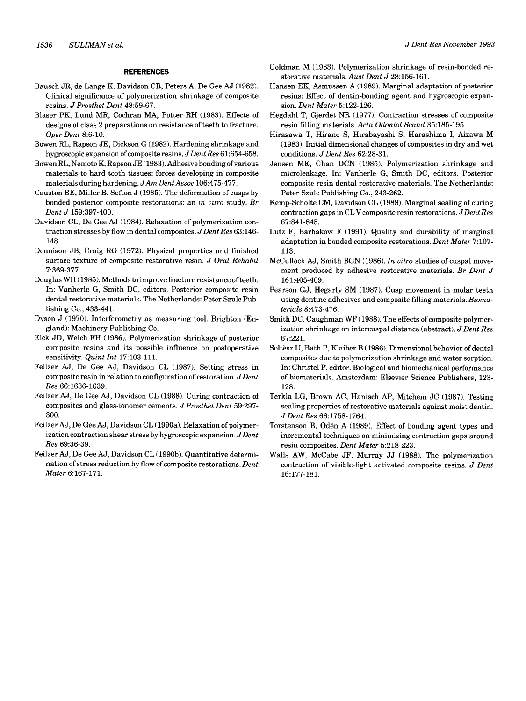#### REFERENCES

- Bausch JR, de Lange K, Davidson CR, Peters A, De Gee AJ (1982). Clinical significance of polymerization shrinkage of composite resins. J Prosthet Dent 48:59-67.
- Blaser PK, Lund MR, Cochran MA, Potter RH (1983). Effects of designs of class 2 preparations on resistance of teeth to fracture. Oper Dent 8:6-10.
- Bowen RL, Rapson JE, Dickson G (1982). Hardening shrinkage and hygroscopic expansion of composite resins. J Dent Res 61:654-658.
- Bowen RL, Nemoto K, Rapson JE (1983). Adhesive bonding ofvarious materials to hard tooth tissues: forces developing in composite materials during hardening. JAm DentAssoc 106:475-477.
- Causton BE, Miller B, Sefton J (1985). The deformation of cusps by bonded posterior composite restorations: an in vitro study. Br Dent J 159:397-400.
- Davidson CL, De Gee AJ (1984). Relaxation of polymerization contraction stresses by flow in dental composites. J Dent Res 63:146-148.
- Dennison JB, Craig RG (1972). Physical properties and finished surface texture of composite restorative resin. J Oral Rehabil 7:369-377.
- Douglas WH (1985). Methods to improve fracture resistance of teeth. In: Vanherle G, Smith DC, editors. Posterior composite resin dental restorative materials. The Netherlands: Peter Szulc Publishing Co., 433-441.
- Dyson J (1970). Interferometry as measuring tool. Brighton (England): Machinery Publishing Co.
- Eick JD, Welch FH (1986). Polymerization shrinkage of posterior composite resins and its possible influence on postoperative sensitivity. Quint Int 17:103-111.
- Feilzer AJ, De Gee AJ, Davidson CL (1987). Setting stress in composite resin in relation to configuration of restoration.  $J$  Dent Res 66:1636-1639.
- Feilzer AJ, De Gee AJ, Davidson CL (1988). Curing contraction of composites and glass-ionomer cements. J Prosthet Dent 59:297- 300.
- Feilzer AJ, De Gee AJ, Davidson CL (1990a). Relaxation of polymerization contraction shear stress by hygroscopic expansion.  $JDent$ Res 69:36-39.
- Feilzer AJ, De Gee AJ, Davidson CL (1990b). Quantitative determination of stress reduction by flow of composite restorations. Dent Mater 6:167-171.
- Goldman M (1983). Polymerization shrinkage of resin-bonded restorative materials. Aust Dent J 28:156-161.
- Hansen EK, Asmussen A (1989). Marginal adaptation of posterior resins: Effect of dentin-bonding agent and hygroscopic expansion. Dent Mater 5:122-126.
- Hegdahl T, Gjerdet NR (1977). Contraction stresses of composite resin filling materials. Acta Odontol Scand 35:185-195.
- Hirasawa T, Hirano S, Hirabayashi S, Harashima I, Aizawa M (1983). Initial dimensional changes of composites in dry and wet conditions. J Dent Res 62:28-31.
- Jensen ME, Chan DCN (1985). Polymerization shrinkage and microleakage. In: Vanherle G, Smith DC, editors. Posterior composite resin dental restorative materials. The Netherlands: Peter Szulc Publishing Co., 243-262.
- Kemp-Scholte CM, Davidson CL (1988). Marginal sealing of curing contraction gaps in CLV composite resin restorations.  $J$  Dent Res 67:841-845.
- Lutz F, Barbakow F (1991). Quality and durability of marginal adaptation in bonded composite restorations. Dent Mater 7:107- 113.
- McCullock AJ, Smith BGN (1986). In vitro studies of cuspal movement produced by adhesive restorative materials. Br Dent J 161:405-409.
- Pearson GJ, Hegarty SM (1987). Cusp movement in molar teeth using dentine adhesives and composite filling materials. Biomaterials 8:473-476.
- Smith DC, Caughman WF (1988). The effects of composite polymerization shrinkage on intercuspal distance (abstract). J Dent Res 67:221.
- Soltesz U, Bath P, Klaiber B (1986). Dimensional behavior of dental composites due to polymerization shrinkage and water sorption. In: Christel P, editor. Biological and biomechanical performance of biomaterials. Amsterdam: Elsevier Science Publishers, 123- 128.
- Terkla LG, Brown AC, Hanisch AP, Mitchem JC (1987). Testing sealing properties of restorative materials against moist dentin. J Dent Res 66:1758-1764.
- Torstenson B, Odén A (1989). Effect of bonding agent types and incremental techniques on minimizing contraction gaps around resin composites. Dent Mater 5:218-223.
- Walls AW, McCabe JF, Murray JJ (1988). The polymerization contraction of visible-light activated composite resins. J Dent 16: 177-181.